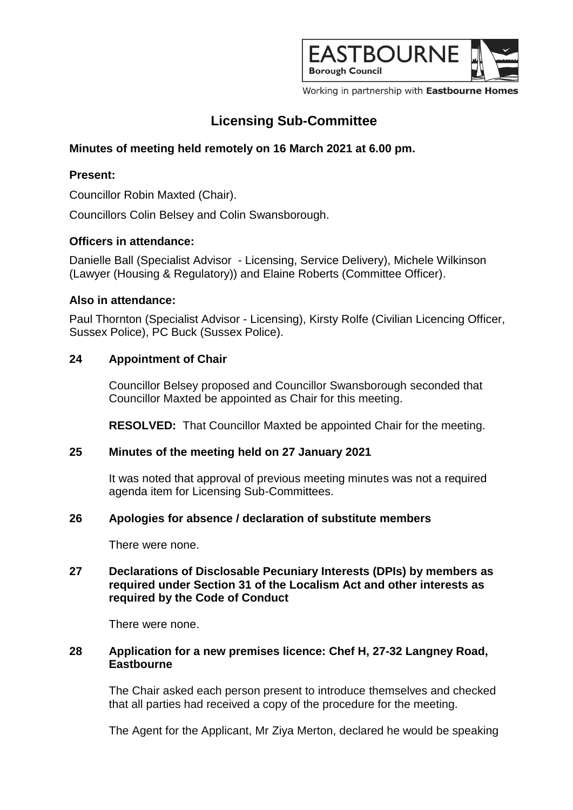

Working in partnership with Eastbourne Homes

# **Licensing Sub-Committee**

# **Minutes of meeting held remotely on 16 March 2021 at 6.00 pm.**

# **Present:**

Councillor Robin Maxted (Chair).

Councillors Colin Belsey and Colin Swansborough.

## **Officers in attendance:**

Danielle Ball (Specialist Advisor - Licensing, Service Delivery), Michele Wilkinson (Lawyer (Housing & Regulatory)) and Elaine Roberts (Committee Officer).

## **Also in attendance:**

Paul Thornton (Specialist Advisor - Licensing), Kirsty Rolfe (Civilian Licencing Officer, Sussex Police), PC Buck (Sussex Police).

## **24 Appointment of Chair**

Councillor Belsey proposed and Councillor Swansborough seconded that Councillor Maxted be appointed as Chair for this meeting.

**RESOLVED:** That Councillor Maxted be appointed Chair for the meeting.

#### **25 Minutes of the meeting held on 27 January 2021**

It was noted that approval of previous meeting minutes was not a required agenda item for Licensing Sub-Committees.

#### **26 Apologies for absence / declaration of substitute members**

There were none.

## **27 Declarations of Disclosable Pecuniary Interests (DPIs) by members as required under Section 31 of the Localism Act and other interests as required by the Code of Conduct**

There were none.

## **28 Application for a new premises licence: Chef H, 27-32 Langney Road, Eastbourne**

The Chair asked each person present to introduce themselves and checked that all parties had received a copy of the procedure for the meeting.

The Agent for the Applicant, Mr Ziya Merton, declared he would be speaking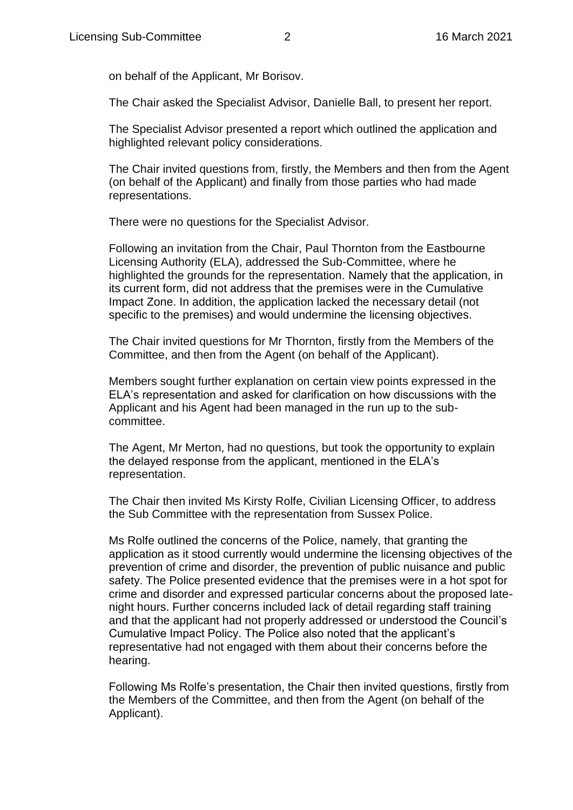on behalf of the Applicant, Mr Borisov.

The Chair asked the Specialist Advisor, Danielle Ball, to present her report.

The Specialist Advisor presented a report which outlined the application and highlighted relevant policy considerations.

The Chair invited questions from, firstly, the Members and then from the Agent (on behalf of the Applicant) and finally from those parties who had made representations.

There were no questions for the Specialist Advisor.

Following an invitation from the Chair, Paul Thornton from the Eastbourne Licensing Authority (ELA), addressed the Sub-Committee, where he highlighted the grounds for the representation. Namely that the application, in its current form, did not address that the premises were in the Cumulative Impact Zone. In addition, the application lacked the necessary detail (not specific to the premises) and would undermine the licensing objectives.

The Chair invited questions for Mr Thornton, firstly from the Members of the Committee, and then from the Agent (on behalf of the Applicant).

Members sought further explanation on certain view points expressed in the ELA's representation and asked for clarification on how discussions with the Applicant and his Agent had been managed in the run up to the subcommittee.

The Agent, Mr Merton, had no questions, but took the opportunity to explain the delayed response from the applicant, mentioned in the ELA's representation.

The Chair then invited Ms Kirsty Rolfe, Civilian Licensing Officer, to address the Sub Committee with the representation from Sussex Police.

Ms Rolfe outlined the concerns of the Police, namely, that granting the application as it stood currently would undermine the licensing objectives of the prevention of crime and disorder, the prevention of public nuisance and public safety. The Police presented evidence that the premises were in a hot spot for crime and disorder and expressed particular concerns about the proposed latenight hours. Further concerns included lack of detail regarding staff training and that the applicant had not properly addressed or understood the Council's Cumulative Impact Policy. The Police also noted that the applicant's representative had not engaged with them about their concerns before the hearing.

Following Ms Rolfe's presentation, the Chair then invited questions, firstly from the Members of the Committee, and then from the Agent (on behalf of the Applicant).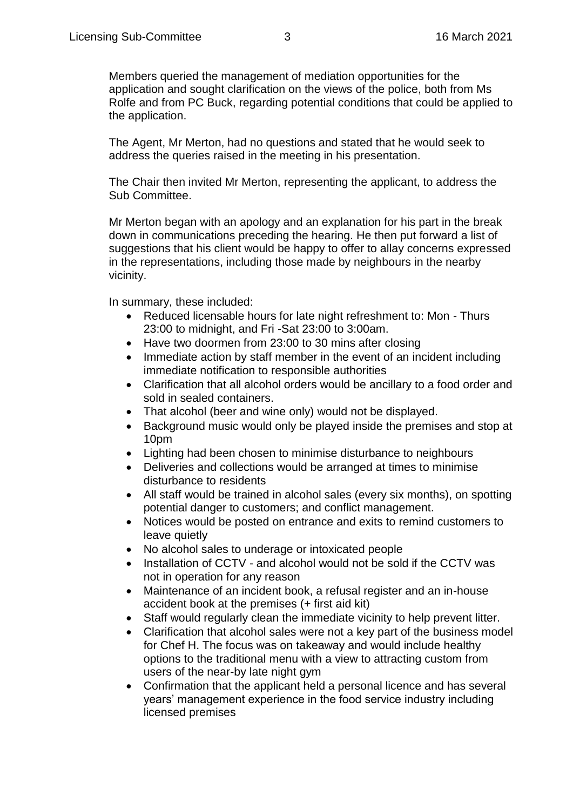Members queried the management of mediation opportunities for the application and sought clarification on the views of the police, both from Ms Rolfe and from PC Buck, regarding potential conditions that could be applied to the application.

The Agent, Mr Merton, had no questions and stated that he would seek to address the queries raised in the meeting in his presentation.

The Chair then invited Mr Merton, representing the applicant, to address the Sub Committee.

Mr Merton began with an apology and an explanation for his part in the break down in communications preceding the hearing. He then put forward a list of suggestions that his client would be happy to offer to allay concerns expressed in the representations, including those made by neighbours in the nearby vicinity.

In summary, these included:

- Reduced licensable hours for late night refreshment to: Mon Thurs 23:00 to midnight, and Fri -Sat 23:00 to 3:00am.
- Have two doormen from 23:00 to 30 mins after closing
- Immediate action by staff member in the event of an incident including immediate notification to responsible authorities
- Clarification that all alcohol orders would be ancillary to a food order and sold in sealed containers.
- That alcohol (beer and wine only) would not be displayed.
- Background music would only be played inside the premises and stop at 10pm
- Lighting had been chosen to minimise disturbance to neighbours
- Deliveries and collections would be arranged at times to minimise disturbance to residents
- All staff would be trained in alcohol sales (every six months), on spotting potential danger to customers; and conflict management.
- Notices would be posted on entrance and exits to remind customers to leave quietly
- No alcohol sales to underage or intoxicated people
- Installation of CCTV and alcohol would not be sold if the CCTV was not in operation for any reason
- Maintenance of an incident book, a refusal register and an in-house accident book at the premises (+ first aid kit)
- Staff would regularly clean the immediate vicinity to help prevent litter.
- Clarification that alcohol sales were not a key part of the business model for Chef H. The focus was on takeaway and would include healthy options to the traditional menu with a view to attracting custom from users of the near-by late night gym
- Confirmation that the applicant held a personal licence and has several years' management experience in the food service industry including licensed premises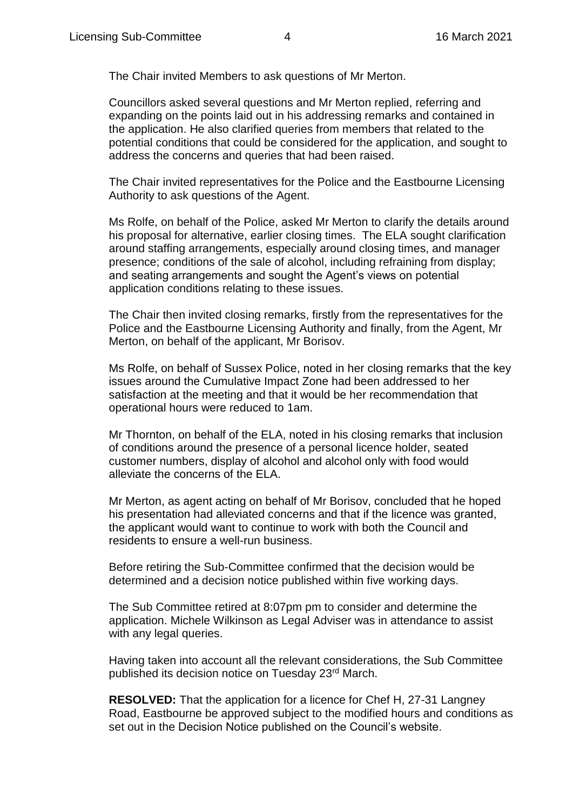The Chair invited Members to ask questions of Mr Merton.

Councillors asked several questions and Mr Merton replied, referring and expanding on the points laid out in his addressing remarks and contained in the application. He also clarified queries from members that related to the potential conditions that could be considered for the application, and sought to address the concerns and queries that had been raised.

The Chair invited representatives for the Police and the Eastbourne Licensing Authority to ask questions of the Agent.

Ms Rolfe, on behalf of the Police, asked Mr Merton to clarify the details around his proposal for alternative, earlier closing times. The ELA sought clarification around staffing arrangements, especially around closing times, and manager presence; conditions of the sale of alcohol, including refraining from display; and seating arrangements and sought the Agent's views on potential application conditions relating to these issues.

The Chair then invited closing remarks, firstly from the representatives for the Police and the Eastbourne Licensing Authority and finally, from the Agent, Mr Merton, on behalf of the applicant, Mr Borisov.

Ms Rolfe, on behalf of Sussex Police, noted in her closing remarks that the key issues around the Cumulative Impact Zone had been addressed to her satisfaction at the meeting and that it would be her recommendation that operational hours were reduced to 1am.

Mr Thornton, on behalf of the ELA, noted in his closing remarks that inclusion of conditions around the presence of a personal licence holder, seated customer numbers, display of alcohol and alcohol only with food would alleviate the concerns of the ELA.

Mr Merton, as agent acting on behalf of Mr Borisov, concluded that he hoped his presentation had alleviated concerns and that if the licence was granted, the applicant would want to continue to work with both the Council and residents to ensure a well-run business.

Before retiring the Sub-Committee confirmed that the decision would be determined and a decision notice published within five working days.

The Sub Committee retired at 8:07pm pm to consider and determine the application. Michele Wilkinson as Legal Adviser was in attendance to assist with any legal queries.

Having taken into account all the relevant considerations, the Sub Committee published its decision notice on Tuesday 23<sup>rd</sup> March.

**RESOLVED:** That the application for a licence for Chef H, 27-31 Langney Road, Eastbourne be approved subject to the modified hours and conditions as set out in the Decision Notice published on the Council's website.